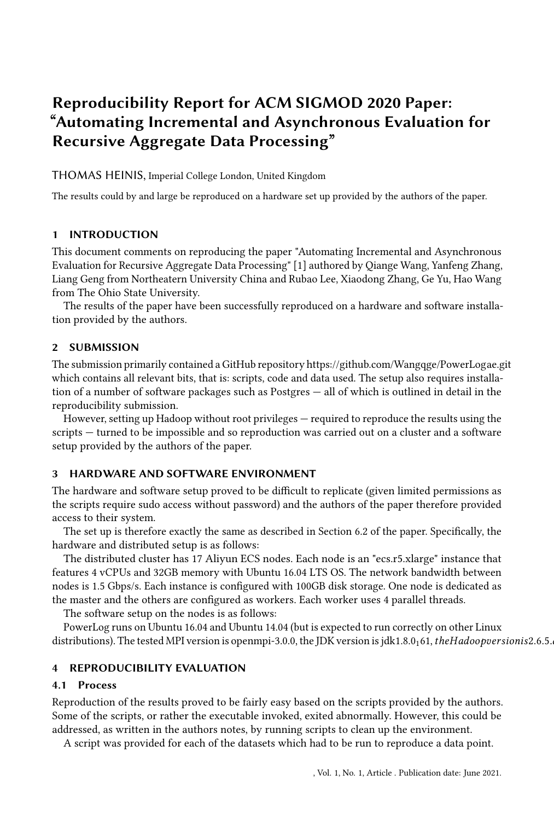# Reproducibility Report for ACM SIGMOD 2020 Paper: "Automating Incremental and Asynchronous Evaluation for Recursive Aggregate Data Processing"

THOMAS HEINIS, Imperial College London, United Kingdom

The results could by and large be reproduced on a hardware set up provided by the authors of the paper.

# 1 INTRODUCTION

This document comments on reproducing the paper "Automating Incremental and Asynchronous Evaluation for Recursive Aggregate Data Processing" [\[1\]](#page-1-0) authored by Qiange Wang, Yanfeng Zhang, Liang Geng from Northeatern University China and Rubao Lee, Xiaodong Zhang, Ge Yu, Hao Wang from The Ohio State University.

The results of the paper have been successfully reproduced on a hardware and software installation provided by the authors.

## 2 SUBMISSION

The submission primarily contained a GitHub repository https://github.com/Wangqge/PowerLogae.git which contains all relevant bits, that is: scripts, code and data used. The setup also requires installation of a number of software packages such as Postgres — all of which is outlined in detail in the reproducibility submission.

However, setting up Hadoop without root privileges — required to reproduce the results using the scripts — turned to be impossible and so reproduction was carried out on a cluster and a software setup provided by the authors of the paper.

# 3 HARDWARE AND SOFTWARE ENVIRONMENT

The hardware and software setup proved to be difficult to replicate (given limited permissions as the scripts require sudo access without password) and the authors of the paper therefore provided access to their system.

The set up is therefore exactly the same as described in Section 6.2 of the paper. Specifically, the hardware and distributed setup is as follows:

The distributed cluster has 17 Aliyun ECS nodes. Each node is an "ecs.r5.xlarge" instance that features 4 vCPUs and 32GB memory with Ubuntu 16.04 LTS OS. The network bandwidth between nodes is 1.5 Gbps/s. Each instance is configured with 100GB disk storage. One node is dedicated as the master and the others are configured as workers. Each worker uses 4 parallel threads.

The software setup on the nodes is as follows:

PowerLog runs on Ubuntu 16.04 and Ubuntu 14.04 (but is expected to run correctly on other Linux distributions). The tested MPI version is openmpi-3.0.0, the JDK version is jdk1.8.0<sub>1</sub>61, theHadoopversionis2.6.5.

#### 4 REPRODUCIBILITY EVALUATION

#### 4.1 Process

Reproduction of the results proved to be fairly easy based on the scripts provided by the authors. Some of the scripts, or rather the executable invoked, exited abnormally. However, this could be addressed, as written in the authors notes, by running scripts to clean up the environment.

A script was provided for each of the datasets which had to be run to reproduce a data point.